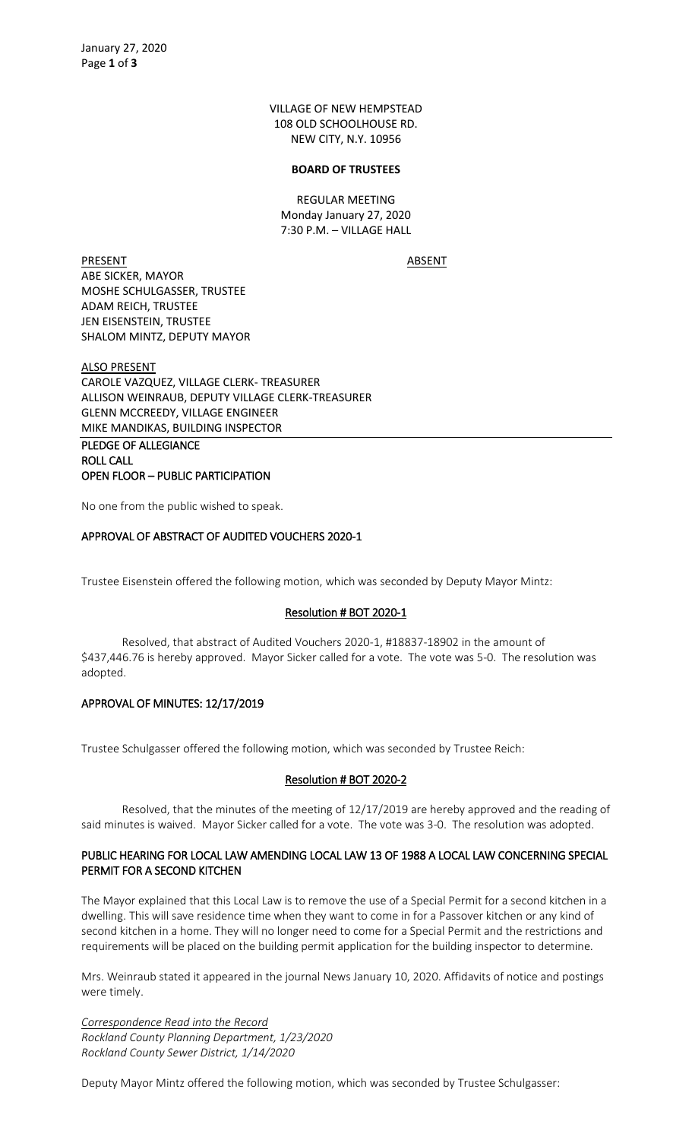VILLAGE OF NEW HEMPSTEAD 108 OLD SCHOOLHOUSE RD. NEW CITY, N.Y. 10956

#### **BOARD OF TRUSTEES**

REGULAR MEETING Monday January 27, 2020 7:30 P.M. – VILLAGE HALL

PRESENT ABSENT ABE SICKER, MAYOR MOSHE SCHULGASSER, TRUSTEE ADAM REICH, TRUSTEE JEN EISENSTEIN, TRUSTEE SHALOM MINTZ, DEPUTY MAYOR

ALSO PRESENT CAROLE VAZQUEZ, VILLAGE CLERK- TREASURER ALLISON WEINRAUB, DEPUTY VILLAGE CLERK-TREASURER GLENN MCCREEDY, VILLAGE ENGINEER MIKE MANDIKAS, BUILDING INSPECTOR

PLEDGE OF ALLEGIANCE ROLL CALL OPEN FLOOR – PUBLIC PARTICIPATION

No one from the public wished to speak.

## APPROVAL OF ABSTRACT OF AUDITED VOUCHERS 2020-1

Trustee Eisenstein offered the following motion, which was seconded by Deputy Mayor Mintz:

### Resolution # BOT 2020-1

Resolved, that abstract of Audited Vouchers 2020-1, #18837-18902 in the amount of \$437,446.76 is hereby approved. Mayor Sicker called for a vote. The vote was 5-0. The resolution was adopted.

### APPROVAL OF MINUTES: 12/17/2019

Trustee Schulgasser offered the following motion, which was seconded by Trustee Reich:

### Resolution # BOT 2020-2

Resolved, that the minutes of the meeting of 12/17/2019 are hereby approved and the reading of said minutes is waived. Mayor Sicker called for a vote. The vote was 3-0. The resolution was adopted.

## PUBLIC HEARING FOR LOCAL LAW AMENDING LOCAL LAW 13 OF 1988 A LOCAL LAW CONCERNING SPECIAL PERMIT FOR A SECOND KITCHEN

The Mayor explained that this Local Law is to remove the use of a Special Permit for a second kitchen in a dwelling. This will save residence time when they want to come in for a Passover kitchen or any kind of second kitchen in a home. They will no longer need to come for a Special Permit and the restrictions and requirements will be placed on the building permit application for the building inspector to determine.

Mrs. Weinraub stated it appeared in the journal News January 10, 2020. Affidavits of notice and postings were timely.

*Correspondence Read into the Record Rockland County Planning Department, 1/23/2020 Rockland County Sewer District, 1/14/2020*

Deputy Mayor Mintz offered the following motion, which was seconded by Trustee Schulgasser: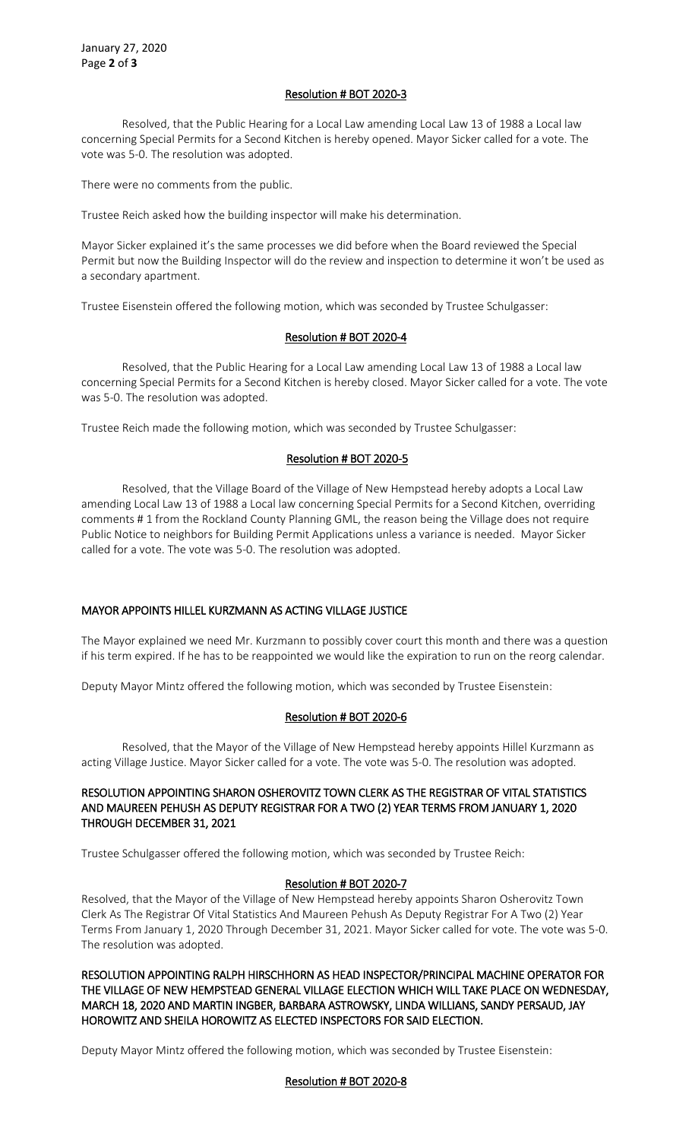## Resolution # BOT 2020-3

Resolved, that the Public Hearing for a Local Law amending Local Law 13 of 1988 a Local law concerning Special Permits for a Second Kitchen is hereby opened. Mayor Sicker called for a vote. The vote was 5-0. The resolution was adopted.

There were no comments from the public.

Trustee Reich asked how the building inspector will make his determination.

Mayor Sicker explained it's the same processes we did before when the Board reviewed the Special Permit but now the Building Inspector will do the review and inspection to determine it won't be used as a secondary apartment.

Trustee Eisenstein offered the following motion, which was seconded by Trustee Schulgasser:

## Resolution # BOT 2020-4

Resolved, that the Public Hearing for a Local Law amending Local Law 13 of 1988 a Local law concerning Special Permits for a Second Kitchen is hereby closed. Mayor Sicker called for a vote. The vote was 5-0. The resolution was adopted.

Trustee Reich made the following motion, which was seconded by Trustee Schulgasser:

## Resolution # BOT 2020-5

Resolved, that the Village Board of the Village of New Hempstead hereby adopts a Local Law amending Local Law 13 of 1988 a Local law concerning Special Permits for a Second Kitchen, overriding comments # 1 from the Rockland County Planning GML, the reason being the Village does not require Public Notice to neighbors for Building Permit Applications unless a variance is needed. Mayor Sicker called for a vote. The vote was 5-0. The resolution was adopted.

# MAYOR APPOINTS HILLEL KURZMANN AS ACTING VILLAGE JUSTICE

The Mayor explained we need Mr. Kurzmann to possibly cover court this month and there was a question if his term expired. If he has to be reappointed we would like the expiration to run on the reorg calendar.

Deputy Mayor Mintz offered the following motion, which was seconded by Trustee Eisenstein:

### Resolution # BOT 2020-6

Resolved, that the Mayor of the Village of New Hempstead hereby appoints Hillel Kurzmann as acting Village Justice. Mayor Sicker called for a vote. The vote was 5-0. The resolution was adopted.

### RESOLUTION APPOINTING SHARON OSHEROVITZ TOWN CLERK AS THE REGISTRAR OF VITAL STATISTICS AND MAUREEN PEHUSH AS DEPUTY REGISTRAR FOR A TWO (2) YEAR TERMS FROM JANUARY 1, 2020 THROUGH DECEMBER 31, 2021

Trustee Schulgasser offered the following motion, which was seconded by Trustee Reich:

### Resolution # BOT 2020-7

Resolved, that the Mayor of the Village of New Hempstead hereby appoints Sharon Osherovitz Town Clerk As The Registrar Of Vital Statistics And Maureen Pehush As Deputy Registrar For A Two (2) Year Terms From January 1, 2020 Through December 31, 2021. Mayor Sicker called for vote. The vote was 5-0. The resolution was adopted.

RESOLUTION APPOINTING RALPH HIRSCHHORN AS HEAD INSPECTOR/PRINCIPAL MACHINE OPERATOR FOR THE VILLAGE OF NEW HEMPSTEAD GENERAL VILLAGE ELECTION WHICH WILL TAKE PLACE ON WEDNESDAY, MARCH 18, 2020 AND MARTIN INGBER, BARBARA ASTROWSKY, LINDA WILLIANS, SANDY PERSAUD, JAY HOROWITZ AND SHEILA HOROWITZ AS ELECTED INSPECTORS FOR SAID ELECTION.

Deputy Mayor Mintz offered the following motion, which was seconded by Trustee Eisenstein:

### Resolution # BOT 2020-8